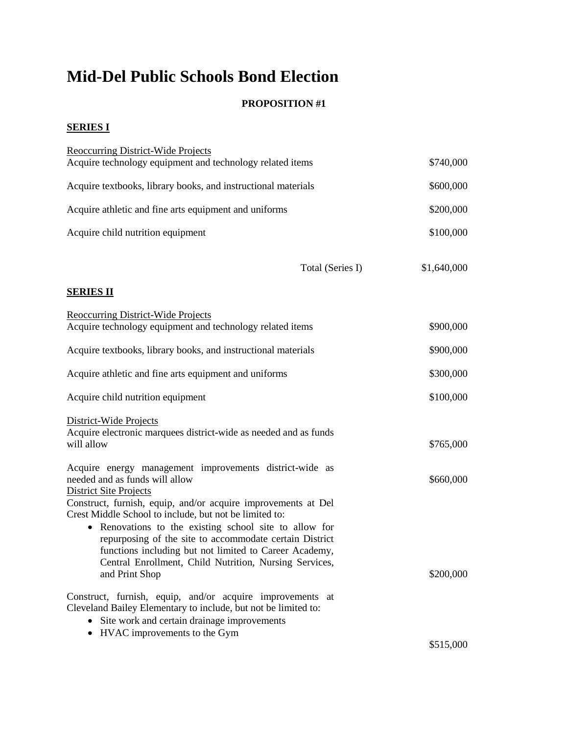# **Mid-Del Public Schools Bond Election**

### **PROPOSITION #1**

#### **SERIES I**

| Reoccurring District-Wide Projects<br>Acquire technology equipment and technology related items                                                                                                                                                                                                                                                                                    | \$740,000   |
|------------------------------------------------------------------------------------------------------------------------------------------------------------------------------------------------------------------------------------------------------------------------------------------------------------------------------------------------------------------------------------|-------------|
| Acquire textbooks, library books, and instructional materials                                                                                                                                                                                                                                                                                                                      | \$600,000   |
| Acquire athletic and fine arts equipment and uniforms                                                                                                                                                                                                                                                                                                                              | \$200,000   |
| Acquire child nutrition equipment                                                                                                                                                                                                                                                                                                                                                  | \$100,000   |
| Total (Series I)                                                                                                                                                                                                                                                                                                                                                                   | \$1,640,000 |
| <b>SERIES II</b>                                                                                                                                                                                                                                                                                                                                                                   |             |
| <b>Reoccurring District-Wide Projects</b><br>Acquire technology equipment and technology related items                                                                                                                                                                                                                                                                             | \$900,000   |
| Acquire textbooks, library books, and instructional materials                                                                                                                                                                                                                                                                                                                      | \$900,000   |
| Acquire athletic and fine arts equipment and uniforms                                                                                                                                                                                                                                                                                                                              | \$300,000   |
| Acquire child nutrition equipment                                                                                                                                                                                                                                                                                                                                                  | \$100,000   |
| District-Wide Projects<br>Acquire electronic marquees district-wide as needed and as funds<br>will allow                                                                                                                                                                                                                                                                           | \$765,000   |
| Acquire energy management improvements district-wide as<br>needed and as funds will allow<br><b>District Site Projects</b>                                                                                                                                                                                                                                                         | \$660,000   |
| Construct, furnish, equip, and/or acquire improvements at Del<br>Crest Middle School to include, but not be limited to:<br>• Renovations to the existing school site to allow for<br>repurposing of the site to accommodate certain District<br>functions including but not limited to Career Academy,<br>Central Enrollment, Child Nutrition, Nursing Services,<br>and Print Shop | \$200,000   |
| Construct, furnish, equip, and/or acquire improvements at<br>Cleveland Bailey Elementary to include, but not be limited to:<br>Site work and certain drainage improvements<br>HVAC improvements to the Gym<br>$\bullet$                                                                                                                                                            |             |
|                                                                                                                                                                                                                                                                                                                                                                                    | \$515,000   |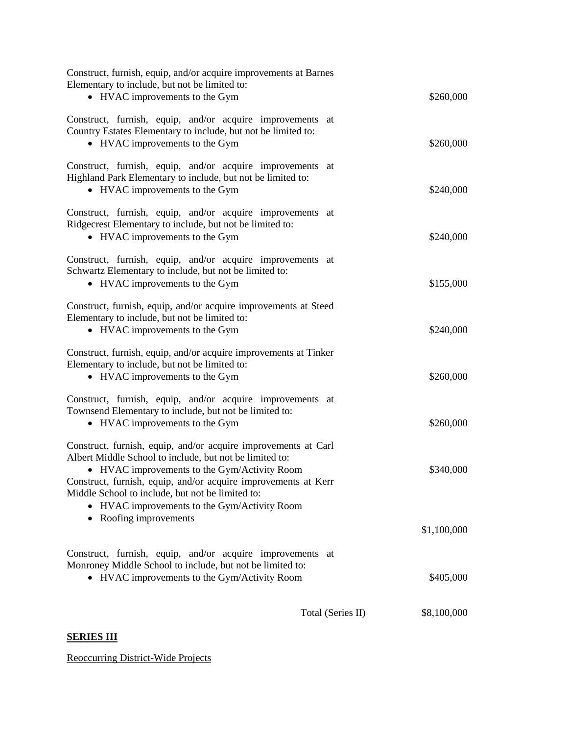| Construct, furnish, equip, and/or acquire improvements at Barnes<br>Elementary to include, but not be limited to:<br>• HVAC improvements to the Gym                                                                                                                                                                                             | \$260,000   |
|-------------------------------------------------------------------------------------------------------------------------------------------------------------------------------------------------------------------------------------------------------------------------------------------------------------------------------------------------|-------------|
| Construct, furnish, equip, and/or acquire improvements at<br>Country Estates Elementary to include, but not be limited to:<br>• HVAC improvements to the Gym                                                                                                                                                                                    | \$260,000   |
| Construct, furnish, equip, and/or acquire improvements at<br>Highland Park Elementary to include, but not be limited to:<br>• HVAC improvements to the Gym                                                                                                                                                                                      | \$240,000   |
| Construct, furnish, equip, and/or acquire improvements at<br>Ridgecrest Elementary to include, but not be limited to:<br>• HVAC improvements to the Gym                                                                                                                                                                                         | \$240,000   |
| Construct, furnish, equip, and/or acquire improvements at<br>Schwartz Elementary to include, but not be limited to:<br>• HVAC improvements to the Gym                                                                                                                                                                                           | \$155,000   |
| Construct, furnish, equip, and/or acquire improvements at Steed<br>Elementary to include, but not be limited to:<br>• HVAC improvements to the Gym                                                                                                                                                                                              | \$240,000   |
| Construct, furnish, equip, and/or acquire improvements at Tinker<br>Elementary to include, but not be limited to:<br>• HVAC improvements to the Gym                                                                                                                                                                                             | \$260,000   |
| Construct, furnish, equip, and/or acquire improvements at<br>Townsend Elementary to include, but not be limited to:<br>• HVAC improvements to the Gym                                                                                                                                                                                           | \$260,000   |
| Construct, furnish, equip, and/or acquire improvements at Carl<br>Albert Middle School to include, but not be limited to:<br>• HVAC improvements to the Gym/Activity Room<br>Construct, furnish, equip, and/or acquire improvements at Kerr<br>Middle School to include, but not be limited to:<br>• HVAC improvements to the Gym/Activity Room | \$340,000   |
| Roofing improvements                                                                                                                                                                                                                                                                                                                            | \$1,100,000 |
| Construct, furnish, equip, and/or acquire improvements at<br>Monroney Middle School to include, but not be limited to:<br>• HVAC improvements to the Gym/Activity Room                                                                                                                                                                          | \$405,000   |
| Total (Series II)                                                                                                                                                                                                                                                                                                                               | \$8,100,000 |

### **SERIES III**

Reoccurring District-Wide Projects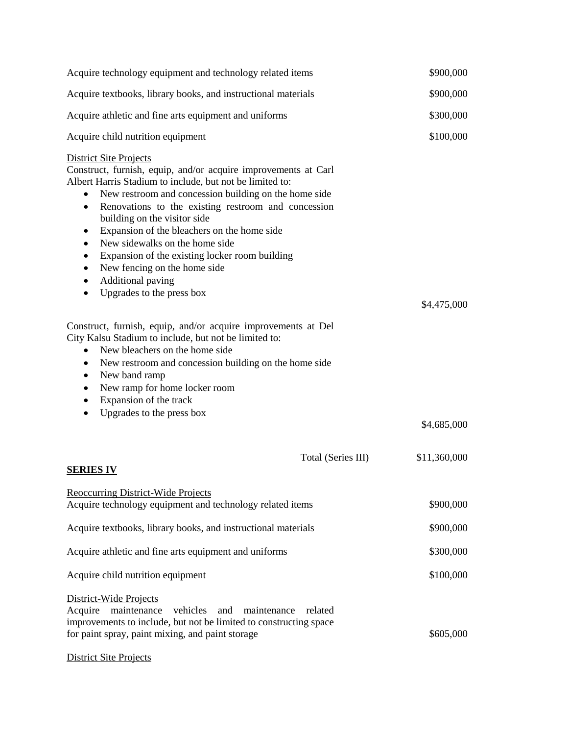| Acquire technology equipment and technology related items                                                                                                                                                                                                                                                                                                                                                                                                                                                                                                                                                                                                                                                                                                                                                                                                                                                                              | \$900,000    |
|----------------------------------------------------------------------------------------------------------------------------------------------------------------------------------------------------------------------------------------------------------------------------------------------------------------------------------------------------------------------------------------------------------------------------------------------------------------------------------------------------------------------------------------------------------------------------------------------------------------------------------------------------------------------------------------------------------------------------------------------------------------------------------------------------------------------------------------------------------------------------------------------------------------------------------------|--------------|
| Acquire textbooks, library books, and instructional materials                                                                                                                                                                                                                                                                                                                                                                                                                                                                                                                                                                                                                                                                                                                                                                                                                                                                          | \$900,000    |
| Acquire athletic and fine arts equipment and uniforms                                                                                                                                                                                                                                                                                                                                                                                                                                                                                                                                                                                                                                                                                                                                                                                                                                                                                  | \$300,000    |
| Acquire child nutrition equipment                                                                                                                                                                                                                                                                                                                                                                                                                                                                                                                                                                                                                                                                                                                                                                                                                                                                                                      | \$100,000    |
| <b>District Site Projects</b><br>Construct, furnish, equip, and/or acquire improvements at Carl<br>Albert Harris Stadium to include, but not be limited to:<br>New restroom and concession building on the home side<br>Renovations to the existing restroom and concession<br>$\bullet$<br>building on the visitor side<br>Expansion of the bleachers on the home side<br>$\bullet$<br>New sidewalks on the home side<br>$\bullet$<br>Expansion of the existing locker room building<br>New fencing on the home side<br>$\bullet$<br>Additional paving<br>$\bullet$<br>Upgrades to the press box<br>٠<br>Construct, furnish, equip, and/or acquire improvements at Del<br>City Kalsu Stadium to include, but not be limited to:<br>New bleachers on the home side<br>New restroom and concession building on the home side<br>$\bullet$<br>New band ramp<br>$\bullet$<br>New ramp for home locker room<br>٠<br>Expansion of the track | \$4,475,000  |
| Upgrades to the press box<br>$\bullet$                                                                                                                                                                                                                                                                                                                                                                                                                                                                                                                                                                                                                                                                                                                                                                                                                                                                                                 | \$4,685,000  |
| Total (Series III)<br><b>SERIES IV</b>                                                                                                                                                                                                                                                                                                                                                                                                                                                                                                                                                                                                                                                                                                                                                                                                                                                                                                 | \$11,360,000 |
| <b>Reoccurring District-Wide Projects</b><br>Acquire technology equipment and technology related items                                                                                                                                                                                                                                                                                                                                                                                                                                                                                                                                                                                                                                                                                                                                                                                                                                 | \$900,000    |
| Acquire textbooks, library books, and instructional materials                                                                                                                                                                                                                                                                                                                                                                                                                                                                                                                                                                                                                                                                                                                                                                                                                                                                          | \$900,000    |
| Acquire athletic and fine arts equipment and uniforms                                                                                                                                                                                                                                                                                                                                                                                                                                                                                                                                                                                                                                                                                                                                                                                                                                                                                  | \$300,000    |
| Acquire child nutrition equipment                                                                                                                                                                                                                                                                                                                                                                                                                                                                                                                                                                                                                                                                                                                                                                                                                                                                                                      | \$100,000    |
| District-Wide Projects<br>Acquire maintenance vehicles and maintenance<br>related<br>improvements to include, but not be limited to constructing space<br>for paint spray, paint mixing, and paint storage<br><b>District Site Projects</b>                                                                                                                                                                                                                                                                                                                                                                                                                                                                                                                                                                                                                                                                                            | \$605,000    |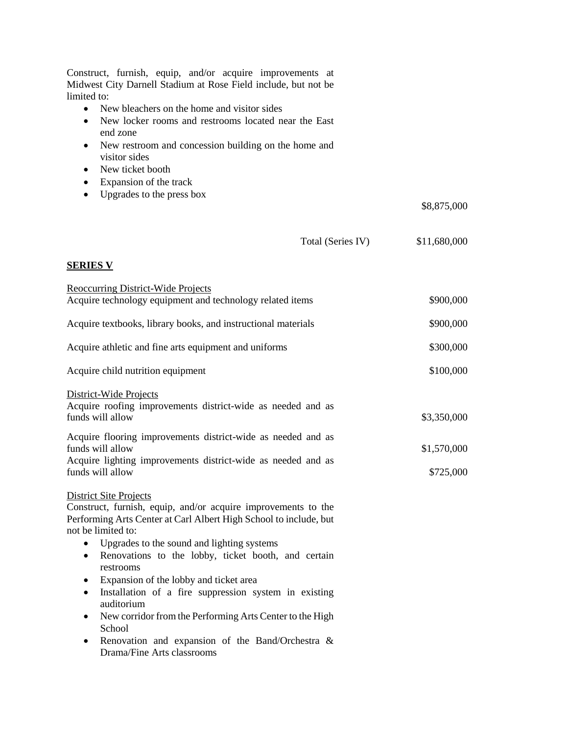| Construct, furnish, equip, and/or acquire improvements at<br>Midwest City Darnell Stadium at Rose Field include, but not be<br>limited to: |              |
|--------------------------------------------------------------------------------------------------------------------------------------------|--------------|
| New bleachers on the home and visitor sides<br>$\bullet$                                                                                   |              |
| New locker rooms and restrooms located near the East<br>$\bullet$<br>end zone                                                              |              |
| New restroom and concession building on the home and<br>٠                                                                                  |              |
| visitor sides                                                                                                                              |              |
| New ticket booth<br>$\bullet$                                                                                                              |              |
| Expansion of the track<br>$\bullet$<br>Upgrades to the press box<br>$\bullet$                                                              |              |
|                                                                                                                                            | \$8,875,000  |
|                                                                                                                                            |              |
| Total (Series IV)                                                                                                                          | \$11,680,000 |
| <b>SERIES V</b>                                                                                                                            |              |
|                                                                                                                                            |              |
| <b>Reoccurring District-Wide Projects</b><br>Acquire technology equipment and technology related items                                     | \$900,000    |
| Acquire textbooks, library books, and instructional materials                                                                              | \$900,000    |
| Acquire athletic and fine arts equipment and uniforms                                                                                      | \$300,000    |
| Acquire child nutrition equipment                                                                                                          | \$100,000    |
| District-Wide Projects                                                                                                                     |              |
| Acquire roofing improvements district-wide as needed and as<br>funds will allow                                                            | \$3,350,000  |
| Acquire flooring improvements district-wide as needed and as                                                                               |              |
| funds will allow                                                                                                                           | \$1,570,000  |
| Acquire lighting improvements district-wide as needed and as<br>funds will allow                                                           | \$725,000    |
| <b>District Site Projects</b>                                                                                                              |              |
| Construct, furnish, equip, and/or acquire improvements to the<br>Performing Arts Center at Carl Albert High School to include, but         |              |
| not be limited to:<br>Upgrades to the sound and lighting systems<br>$\bullet$                                                              |              |
| Renovations to the lobby, ticket booth, and certain<br>$\bullet$<br>restrooms                                                              |              |
| Expansion of the lobby and ticket area<br>٠                                                                                                |              |
| Installation of a fire suppression system in existing<br>$\bullet$<br>auditorium                                                           |              |
| New corridor from the Performing Arts Center to the High<br>$\bullet$<br>School                                                            |              |
| Renovation and expansion of the Band/Orchestra &<br>٠<br>Drama/Fine Arts classrooms                                                        |              |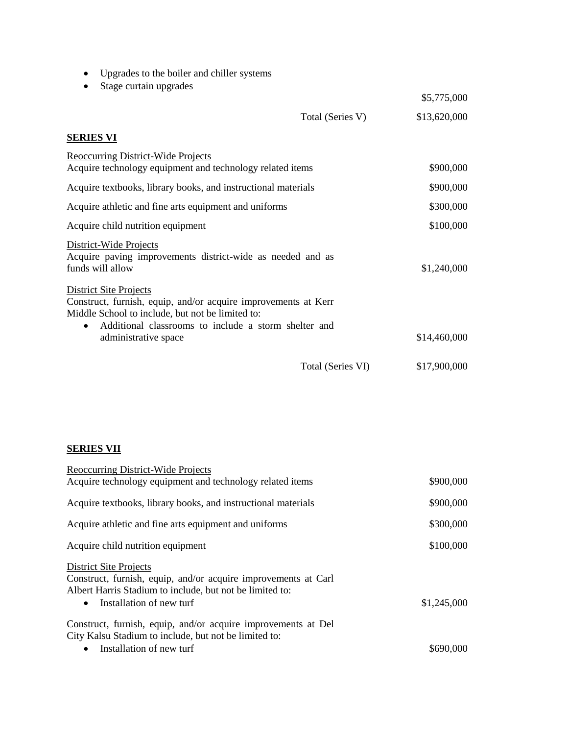- Upgrades to the boiler and chiller systems
- Stage curtain upgrades

|                                                                                                                                                                                                                          |                   | \$5,775,000  |
|--------------------------------------------------------------------------------------------------------------------------------------------------------------------------------------------------------------------------|-------------------|--------------|
|                                                                                                                                                                                                                          | Total (Series V)  | \$13,620,000 |
| <b>SERIES VI</b>                                                                                                                                                                                                         |                   |              |
| <b>Reoccurring District-Wide Projects</b><br>Acquire technology equipment and technology related items                                                                                                                   |                   | \$900,000    |
| Acquire textbooks, library books, and instructional materials                                                                                                                                                            |                   | \$900,000    |
| Acquire athletic and fine arts equipment and uniforms                                                                                                                                                                    |                   | \$300,000    |
| Acquire child nutrition equipment                                                                                                                                                                                        |                   | \$100,000    |
| District-Wide Projects<br>Acquire paving improvements district-wide as needed and as<br>funds will allow                                                                                                                 |                   | \$1,240,000  |
| <b>District Site Projects</b><br>Construct, furnish, equip, and/or acquire improvements at Kerr<br>Middle School to include, but not be limited to:<br>Additional classrooms to include a storm shelter and<br>$\bullet$ |                   |              |
| administrative space                                                                                                                                                                                                     |                   | \$14,460,000 |
|                                                                                                                                                                                                                          | Total (Series VI) | \$17,900,000 |

## **SERIES VII**

| <b>Reoccurring District-Wide Projects</b>                                                                                                                   |             |
|-------------------------------------------------------------------------------------------------------------------------------------------------------------|-------------|
| Acquire technology equipment and technology related items                                                                                                   | \$900,000   |
| Acquire textbooks, library books, and instructional materials                                                                                               | \$900,000   |
| Acquire athletic and fine arts equipment and uniforms                                                                                                       | \$300,000   |
| Acquire child nutrition equipment                                                                                                                           | \$100,000   |
| <b>District Site Projects</b><br>Construct, furnish, equip, and/or acquire improvements at Carl<br>Albert Harris Stadium to include, but not be limited to: |             |
| Installation of new turf<br>$\bullet$                                                                                                                       | \$1,245,000 |
| Construct, furnish, equip, and/or acquire improvements at Del                                                                                               |             |
| City Kalsu Stadium to include, but not be limited to:                                                                                                       |             |
| Installation of new turf                                                                                                                                    | \$690,000   |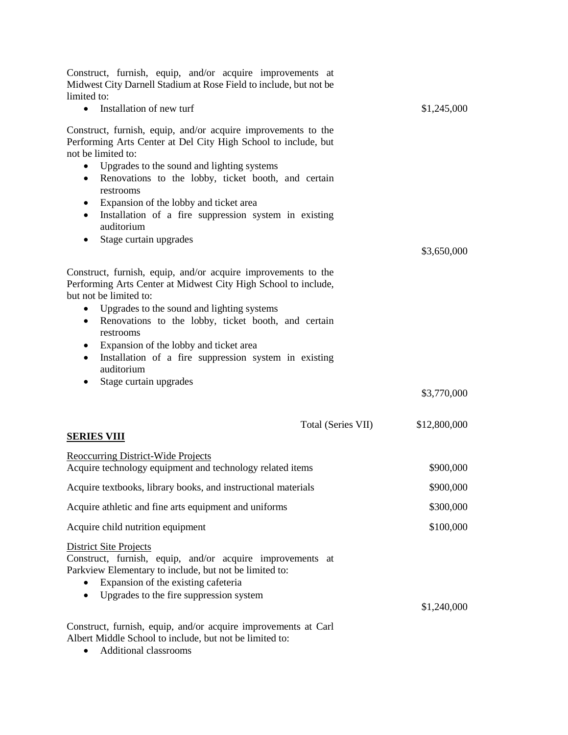| Construct, furnish, equip, and/or acquire improvements at<br>Midwest City Darnell Stadium at Rose Field to include, but not be<br>limited to:                                                                                                                                                                                                                                                                                                                                       |              |
|-------------------------------------------------------------------------------------------------------------------------------------------------------------------------------------------------------------------------------------------------------------------------------------------------------------------------------------------------------------------------------------------------------------------------------------------------------------------------------------|--------------|
| Installation of new turf<br>$\bullet$                                                                                                                                                                                                                                                                                                                                                                                                                                               | \$1,245,000  |
| Construct, furnish, equip, and/or acquire improvements to the<br>Performing Arts Center at Del City High School to include, but<br>not be limited to:<br>Upgrades to the sound and lighting systems<br>$\bullet$<br>Renovations to the lobby, ticket booth, and certain<br>$\bullet$<br>restrooms<br>Expansion of the lobby and ticket area<br>$\bullet$<br>Installation of a fire suppression system in existing<br>$\bullet$<br>auditorium<br>Stage curtain upgrades<br>$\bullet$ | \$3,650,000  |
| Construct, furnish, equip, and/or acquire improvements to the<br>Performing Arts Center at Midwest City High School to include,<br>but not be limited to:<br>Upgrades to the sound and lighting systems<br>$\bullet$<br>Renovations to the lobby, ticket booth, and certain<br>$\bullet$<br>restrooms<br>Expansion of the lobby and ticket area<br>$\bullet$<br>Installation of a fire suppression system in existing<br>$\bullet$<br>auditorium                                    |              |
| Stage curtain upgrades<br>$\bullet$                                                                                                                                                                                                                                                                                                                                                                                                                                                 | \$3,770,000  |
| Total (Series VII)<br>SERIES VIII                                                                                                                                                                                                                                                                                                                                                                                                                                                   | \$12,800,000 |
| <b>Reoccurring District-Wide Projects</b><br>Acquire technology equipment and technology related items                                                                                                                                                                                                                                                                                                                                                                              | \$900,000    |
| Acquire textbooks, library books, and instructional materials                                                                                                                                                                                                                                                                                                                                                                                                                       | \$900,000    |
| Acquire athletic and fine arts equipment and uniforms                                                                                                                                                                                                                                                                                                                                                                                                                               | \$300,000    |
| Acquire child nutrition equipment                                                                                                                                                                                                                                                                                                                                                                                                                                                   | \$100,000    |
| <b>District Site Projects</b><br>Construct, furnish, equip, and/or acquire improvements at<br>Parkview Elementary to include, but not be limited to:<br>Expansion of the existing cafeteria<br>Upgrades to the fire suppression system                                                                                                                                                                                                                                              | \$1,240,000  |
| Construct, furnish, equip, and/or acquire improvements at Carl<br>Albert Middle School to include, but not be limited to:                                                                                                                                                                                                                                                                                                                                                           |              |

Additional classrooms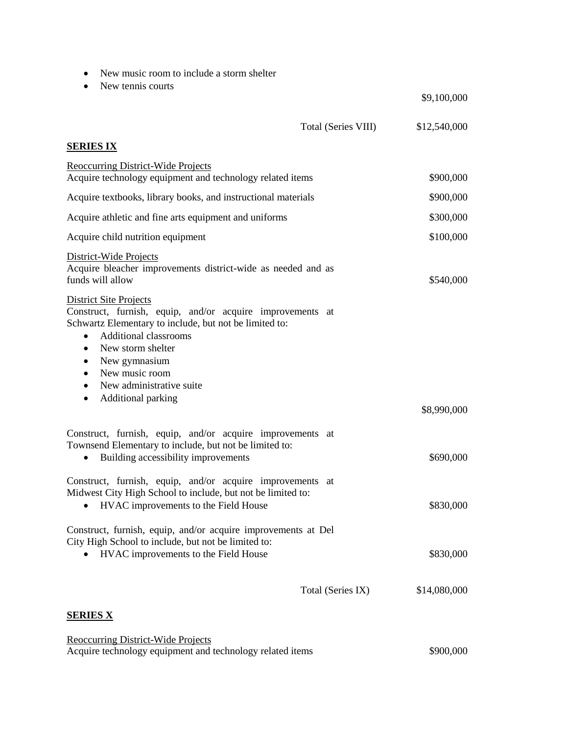- New music room to include a storm shelter
- New tennis courts

\$9,100,000

|                                                                                                                                                                                                                                                                                                                                           | Total (Series VIII) | \$12,540,000 |
|-------------------------------------------------------------------------------------------------------------------------------------------------------------------------------------------------------------------------------------------------------------------------------------------------------------------------------------------|---------------------|--------------|
| <b>SERIES IX</b>                                                                                                                                                                                                                                                                                                                          |                     |              |
| <b>Reoccurring District-Wide Projects</b><br>Acquire technology equipment and technology related items                                                                                                                                                                                                                                    |                     | \$900,000    |
| Acquire textbooks, library books, and instructional materials                                                                                                                                                                                                                                                                             |                     | \$900,000    |
| Acquire athletic and fine arts equipment and uniforms                                                                                                                                                                                                                                                                                     |                     | \$300,000    |
| Acquire child nutrition equipment                                                                                                                                                                                                                                                                                                         |                     | \$100,000    |
| District-Wide Projects<br>Acquire bleacher improvements district-wide as needed and as<br>funds will allow                                                                                                                                                                                                                                |                     | \$540,000    |
| <b>District Site Projects</b><br>Construct, furnish, equip, and/or acquire improvements at<br>Schwartz Elementary to include, but not be limited to:<br><b>Additional classrooms</b><br>$\bullet$<br>New storm shelter<br>$\bullet$<br>New gymnasium<br>$\bullet$<br>New music room<br>$\bullet$<br>New administrative suite<br>$\bullet$ |                     |              |
| Additional parking<br>$\bullet$                                                                                                                                                                                                                                                                                                           |                     | \$8,990,000  |
| Construct, furnish, equip, and/or acquire improvements at<br>Townsend Elementary to include, but not be limited to:<br>Building accessibility improvements<br>$\bullet$                                                                                                                                                                   |                     | \$690,000    |
| Construct, furnish, equip, and/or acquire improvements at<br>Midwest City High School to include, but not be limited to:<br>HVAC improvements to the Field House<br>$\bullet$                                                                                                                                                             |                     | \$830,000    |
| Construct, furnish, equip, and/or acquire improvements at Del<br>City High School to include, but not be limited to:<br>HVAC improvements to the Field House                                                                                                                                                                              |                     | \$830,000    |
|                                                                                                                                                                                                                                                                                                                                           | Total (Series IX)   | \$14,080,000 |
| <b>SERIES X</b>                                                                                                                                                                                                                                                                                                                           |                     |              |

| Reoccurring District-Wide Projects                        |           |
|-----------------------------------------------------------|-----------|
| Acquire technology equipment and technology related items | \$900,000 |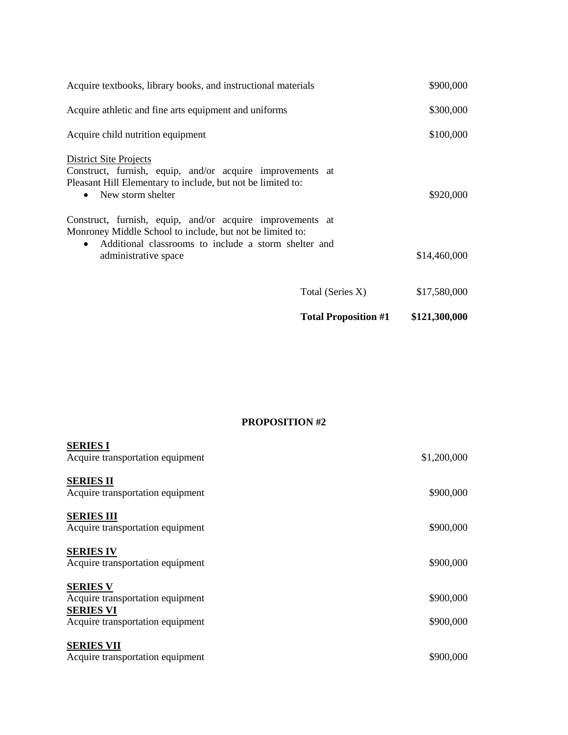| <b>Total Proposition #1</b>                                                                                                                     | \$121,300,000 |
|-------------------------------------------------------------------------------------------------------------------------------------------------|---------------|
| Total (Series X)                                                                                                                                | \$17,580,000  |
| Additional classrooms to include a storm shelter and<br>$\bullet$<br>administrative space                                                       | \$14,460,000  |
| Construct, furnish, equip, and/or acquire improvements at<br>Monroney Middle School to include, but not be limited to:                          |               |
| Construct, furnish, equip, and/or acquire improvements at<br>Pleasant Hill Elementary to include, but not be limited to:<br>• New storm shelter | \$920,000     |
| District Site Projects                                                                                                                          |               |
| Acquire child nutrition equipment                                                                                                               | \$100,000     |
| Acquire athletic and fine arts equipment and uniforms                                                                                           | \$300,000     |
| Acquire textbooks, library books, and instructional materials                                                                                   | \$900,000     |

#### **PROPOSITION #2**

| <b>SERIES I</b><br>Acquire transportation equipment                                                         | \$1,200,000            |
|-------------------------------------------------------------------------------------------------------------|------------------------|
| <b>SERIES II</b><br>Acquire transportation equipment                                                        | \$900,000              |
| <b>SERIES III</b><br>Acquire transportation equipment                                                       | \$900,000              |
| <b>SERIES IV</b><br>Acquire transportation equipment                                                        | \$900,000              |
| <b>SERIES V</b><br>Acquire transportation equipment<br><b>SERIES VI</b><br>Acquire transportation equipment | \$900,000<br>\$900,000 |
| <b>SERIES VII</b><br>Acquire transportation equipment                                                       | \$900,000              |